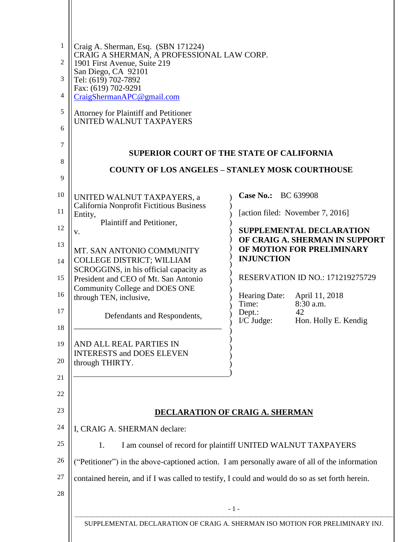| 1<br>2<br>3<br>4<br>5<br>6<br>7<br>8<br>9                            | Craig A. Sherman, Esq. (SBN 171224)<br>CRAIG A SHERMAN, A PROFESSIONAL LAW CORP.<br>1901 First Avenue, Suite 219<br>San Diego, CA 92101<br>Tel: (619) 702-7892<br>Fax: (619) 702-9291<br>CraigShermanAPC@gmail.com<br>Attorney for Plaintiff and Petitioner<br>UNITED WALNUT TAXPAYERS                                                                                                                                                         | <b>SUPERIOR COURT OF THE STATE OF CALIFORNIA</b><br><b>COUNTY OF LOS ANGELES - STANLEY MOSK COURTHOUSE</b>                                                                                                                                                                                                                                                                                         |
|----------------------------------------------------------------------|------------------------------------------------------------------------------------------------------------------------------------------------------------------------------------------------------------------------------------------------------------------------------------------------------------------------------------------------------------------------------------------------------------------------------------------------|----------------------------------------------------------------------------------------------------------------------------------------------------------------------------------------------------------------------------------------------------------------------------------------------------------------------------------------------------------------------------------------------------|
| 10<br>11<br>12<br>13<br>14<br>15<br>16<br>17<br>18<br>19<br>20<br>21 | UNITED WALNUT TAXPAYERS, a<br>California Nonprofit Fictitious Business<br>Entity,<br>Plaintiff and Petitioner,<br>v.<br>MT. SAN ANTONIO COMMUNITY<br>COLLEGE DISTRICT; WILLIAM<br>SCROGGINS, in his official capacity as<br>President and CEO of Mt. San Antonio<br>Community College and DOES ONE<br>through TEN, inclusive,<br>Defendants and Respondents,<br>AND ALL REAL PARTIES IN<br><b>INTERESTS and DOES ELEVEN</b><br>through THIRTY. | Case No.: BC 639908<br>[action filed: November 7, 2016]<br><b>SUPPLEMENTAL DECLARATION</b><br>OF CRAIG A. SHERMAN IN SUPPORT<br>OF MOTION FOR PRELIMINARY<br><b>INJUNCTION</b><br><b>RESERVATION ID NO.: 171219275729</b><br><b>Hearing Date:</b><br>April 11, 2018<br>$8:30$ a.m.<br>Time:<br>Dept.:<br>42<br>I/C Judge:<br>Hon. Holly E. Kendig                                                  |
| 22<br>23<br>24<br>25<br>26<br>27<br>28                               | I, CRAIG A. SHERMAN declare:<br>1.                                                                                                                                                                                                                                                                                                                                                                                                             | <b>DECLARATION OF CRAIG A. SHERMAN</b><br>I am counsel of record for plaintiff UNITED WALNUT TAXPAYERS<br>("Petitioner") in the above-captioned action. I am personally aware of all of the information<br>contained herein, and if I was called to testify, I could and would do so as set forth herein.<br>$-1-$<br>SUPPLEMENTAL DECLARATION OF CRAIG A. SHERMAN ISO MOTION FOR PRELIMINARY INJ. |
|                                                                      |                                                                                                                                                                                                                                                                                                                                                                                                                                                |                                                                                                                                                                                                                                                                                                                                                                                                    |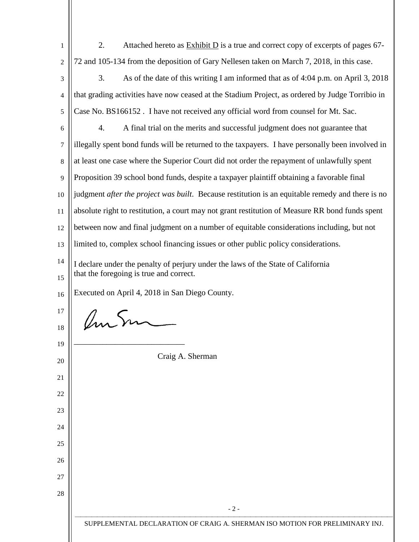| $\mathbf{1}$     | 2.<br>Attached hereto as $\frac{Exhibit D}{D}$ is a true and correct copy of excerpts of pages 67-                          |
|------------------|-----------------------------------------------------------------------------------------------------------------------------|
| $\overline{2}$   | 72 and 105-134 from the deposition of Gary Nellesen taken on March 7, 2018, in this case.                                   |
| 3                | 3.<br>As of the date of this writing I am informed that as of 4:04 p.m. on April 3, 2018                                    |
| 4                | that grading activities have now ceased at the Stadium Project, as ordered by Judge Torribio in                             |
| 5                | Case No. BS166152. I have not received any official word from counsel for Mt. Sac.                                          |
| 6                | 4.<br>A final trial on the merits and successful judgment does not guarantee that                                           |
| $\boldsymbol{7}$ | illegally spent bond funds will be returned to the taxpayers. I have personally been involved in                            |
| 8                | at least one case where the Superior Court did not order the repayment of unlawfully spent                                  |
| 9                | Proposition 39 school bond funds, despite a taxpayer plaintiff obtaining a favorable final                                  |
| 10               | judgment after the project was built. Because restitution is an equitable remedy and there is no                            |
| 11               | absolute right to restitution, a court may not grant restitution of Measure RR bond funds spent                             |
| 12               | between now and final judgment on a number of equitable considerations including, but not                                   |
| 13               | limited to, complex school financing issues or other public policy considerations.                                          |
| 14<br>15         | I declare under the penalty of perjury under the laws of the State of California<br>that the foregoing is true and correct. |
| 16               | Executed on April 4, 2018 in San Diego County.                                                                              |
| 17               |                                                                                                                             |
| 18               | Umsm                                                                                                                        |
| 19               |                                                                                                                             |
| 20               | Craig A. Sherman                                                                                                            |
| 21               |                                                                                                                             |
| 22               |                                                                                                                             |
| 23               |                                                                                                                             |
| 24               |                                                                                                                             |
| 25               |                                                                                                                             |
| 26               |                                                                                                                             |
| 27               |                                                                                                                             |
| 28               |                                                                                                                             |
|                  | $-2-$                                                                                                                       |
|                  | SUPPLEMENTAL DECLARATION OF CRAIG A. SHERMAN ISO MOTION FOR PRELIMINARY INJ.                                                |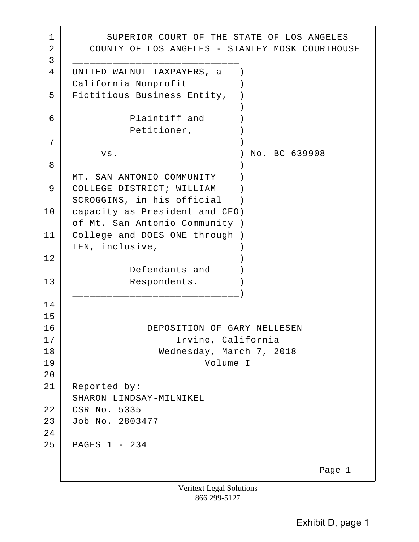1 SUPERIOR COURT OF THE STATE OF LOS ANGELES 2 COUNTY OF LOS ANGELES - STANLEY MOSK COURTHOUSE 3 \_\_\_\_\_\_\_\_\_\_\_\_\_\_\_\_\_\_\_\_\_\_\_\_\_\_\_\_\_ 4 UNITED WALNUT TAXPAYERS, a ) California Nonprofit (1) 5 | Fictitious Business Entity, )  $)$ 6 Plaintiff and ) Petitioner,  $)$  $7$  ) vs. ) No. BC 639908 8 ) MT. SAN ANTONIO COMMUNITY ) 9 COLLEGE DISTRICT; WILLIAM ) SCROGGINS, in his official ) 10 capacity as President and CEO) of Mt. San Antonio Community ) 11 College and DOES ONE through ) TEN, inclusive, (1992)  $\begin{array}{c|c|c|c|c} \hline 12 & \hline \end{array}$  Defendants and ) 13 Respondents. \_\_\_\_\_\_\_\_\_\_\_\_\_\_\_\_\_\_\_\_\_\_\_\_\_\_\_\_\_) 14 15 16 DEPOSITION OF GARY NELLESEN 17 Irvine, California 18 Wednesday, March 7, 2018 19 Volume I 20 21 Reported by: SHARON LINDSAY-MILNIKEL 22 CSR No. 5335 23 Job No. 2803477 24 25 PAGES 1 - 234 Page 1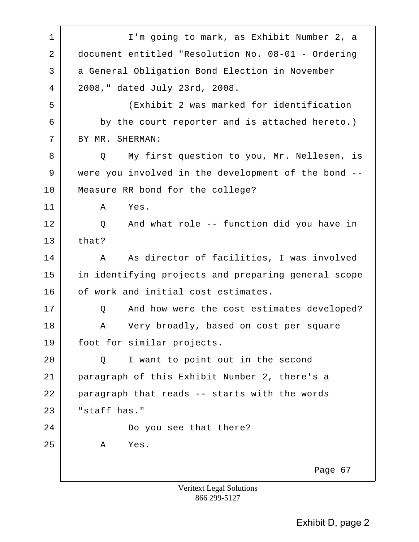1 | I'm going to mark, as Exhibit Number 2, a 2 document entitled "Resolution No. 08-01 - Ordering 3 a General Obligation Bond Election in November 4 2008," dated July 23rd, 2008. 5 (Exhibit 2 was marked for identification 6 by the court reporter and is attached hereto.) 7 BY MR. SHERMAN: 8 Q My first question to you, Mr. Nellesen, is 9 were you involved in the development of the bond -- 10 Measure RR bond for the college? 11 A Yes. 12 Q And what role -- function did you have in  $13$  that? 14 | A As director of facilities, I was involved 15 in identifying projects and preparing general scope 16 of work and initial cost estimates. 17 | Q And how were the cost estimates developed? 18 A Very broadly, based on cost per square 19 | foot for similar projects. 20 Q I want to point out in the second 21 paragraph of this Exhibit Number 2, there's a 22 paragraph that reads -- starts with the words 23 "staff has." 24 Do you see that there? 25 A Yes. Page 67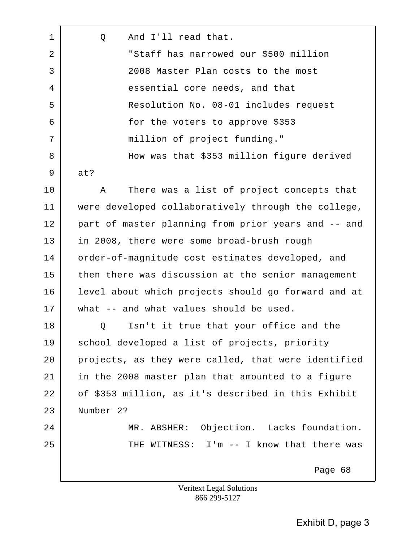| 1  | And I'll read that.<br>Q                            |
|----|-----------------------------------------------------|
| 2  | "Staff has narrowed our \$500 million               |
| 3  | 2008 Master Plan costs to the most                  |
| 4  | essential core needs, and that                      |
| 5  | Resolution No. 08-01 includes request               |
| 6  | for the voters to approve \$353                     |
| 7  | million of project funding."                        |
| 8  | How was that \$353 million figure derived           |
| 9  | at?                                                 |
| 10 | There was a list of project concepts that<br>Α      |
| 11 | were developed collaboratively through the college, |
| 12 | part of master planning from prior years and -- and |
| 13 | in 2008, there were some broad-brush rough          |
| 14 | order-of-magnitude cost estimates developed, and    |
| 15 | then there was discussion at the senior management  |
| 16 | level about which projects should go forward and at |
| 17 | what -- and what values should be used.             |
| 18 | Isn't it true that your office and the<br>Q         |
| 19 | school developed a list of projects, priority       |
| 20 | projects, as they were called, that were identified |
| 21 | in the 2008 master plan that amounted to a figure   |
| 22 | of \$353 million, as it's described in this Exhibit |
| 23 | Number 2?                                           |
| 24 | MR. ABSHER: Objection. Lacks foundation.            |
| 25 | THE WITNESS: I'm -- I know that there was           |
|    | Page 68                                             |
|    | <b>Veritext Legal Solutions</b>                     |

866 299-5127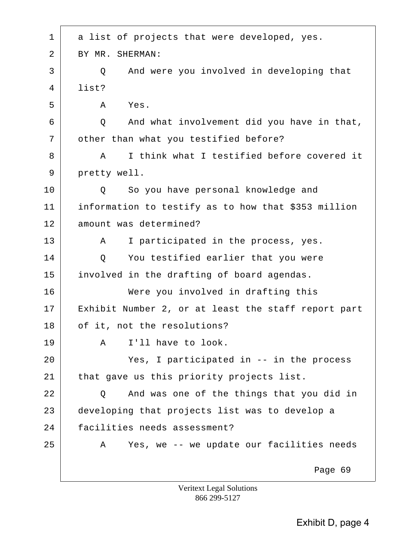| BY MR. SHERMAN:                                     |
|-----------------------------------------------------|
| And were you involved in developing that<br>Q       |
| list?                                               |
| Yes.<br>Α                                           |
| And what involvement did you have in that,<br>Q     |
| other than what you testified before?               |
| I think what I testified before covered it<br>A     |
| pretty well.                                        |
| So you have personal knowledge and<br>Q             |
| information to testify as to how that \$353 million |
| amount was determined?                              |
| I participated in the process, yes.<br>A            |
| You testified earlier that you were<br>Q            |
| involved in the drafting of board agendas.          |
| Were you involved in drafting this                  |
| Exhibit Number 2, or at least the staff report part |
| of it, not the resolutions?                         |
| I'll have to look.<br>Α                             |
| Yes, I participated in -- in the process            |
| that gave us this priority projects list.           |
| And was one of the things that you did in<br>Q      |
| developing that projects list was to develop a      |
| facilities needs assessment?                        |
| Yes, we -- we update our facilities needs<br>A      |
| Page 69                                             |
|                                                     |

 $\overline{\phantom{0}}$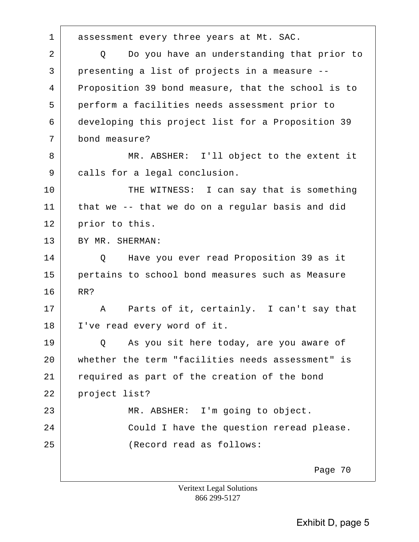1 assessment every three years at Mt. SAC.

2 Q Do you have an understanding that prior to 3 presenting a list of projects in a measure -- 4 Proposition 39 bond measure, that the school is to 5 perform a facilities needs assessment prior to 6 developing this project list for a Proposition 39 7 bond measure?

8 MR. ABSHER: I'll object to the extent it 9 calls for a legal conclusion.

10 THE WITNESS: I can say that is something 11 that we -- that we do on a regular basis and did 12 prior to this.

13 BY MR. SHERMAN:

14 Q Have you ever read Proposition 39 as it 15 pertains to school bond measures such as Measure 16 RR?

17 A Parts of it, certainly. I can't say that 18 I've read every word of it.

19 O As you sit here today, are you aware of 20 whether the term "facilities needs assessment" is 21 required as part of the creation of the bond 22 project list? 23 | MR. ABSHER: I'm going to object. 24 Could I have the question reread please. 25 (Record read as follows:

Page 70

Veritext Legal Solutions 866 299-5127

Exhibit D, page 5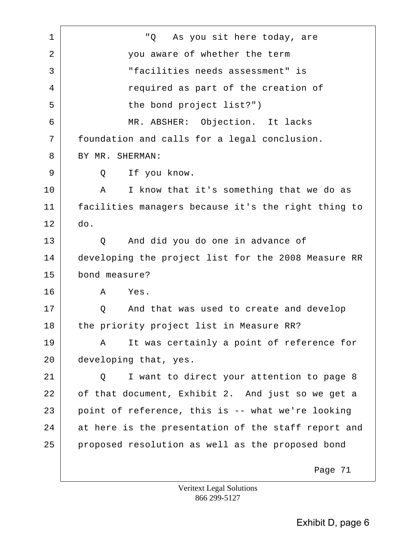1 "Q As you sit here today, are 2 you aware of whether the term 3 "facilities needs assessment" is 4 required as part of the creation of 5 the bond project list?") 6 MR. ABSHER: Objection. It lacks 7 foundation and calls for a legal conclusion. 8 BY MR. SHERMAN: 9 Q If you know. 10 | A I know that it's something that we do as 11 facilities managers because it's the right thing to 12 do. 13 Q And did you do one in advance of 14 developing the project list for the 2008 Measure RR 15 bond measure? 16 A Yes. 17 | C And that was used to create and develop 18 the priority project list in Measure RR? 19 | A It was certainly a point of reference for 20 developing that, yes. 21 | Q I want to direct your attention to page 8 22 of that document, Exhibit 2. And just so we get a  $23$  point of reference, this is -- what we're looking 24 at here is the presentation of the staff report and 25 proposed resolution as well as the proposed bond Page 71

Veritext Legal Solutions 866 299-5127

Exhibit D, page 6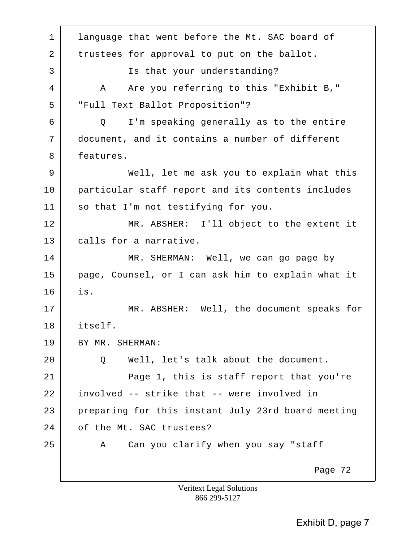1 | language that went before the Mt. SAC board of 2 trustees for approval to put on the ballot. 3 | Is that your understanding? 4 A Are you referring to this "Exhibit B," 5 "Full Text Ballot Proposition"? 6 Q I'm speaking generally as to the entire 7 document, and it contains a number of different 8 features. 9 Well, let me ask you to explain what this 10 particular staff report and its contents includes 11 so that I'm not testifying for you. 12 | MR. ABSHER: I'll object to the extent it 13 calls for a narrative. 14 MR. SHERMAN: Well, we can go page by 15 page, Counsel, or I can ask him to explain what it 16 is. 17 | MR. ABSHER: Well, the document speaks for 18 itself. 19 BY MR. SHERMAN: 20 Q Q Well, let's talk about the document. 21 Page 1, this is staff report that you're 22 involved -- strike that -- were involved in 23 preparing for this instant July 23rd board meeting 24 of the Mt. SAC trustees? 25 A Can you clarify when you say "staff Page 72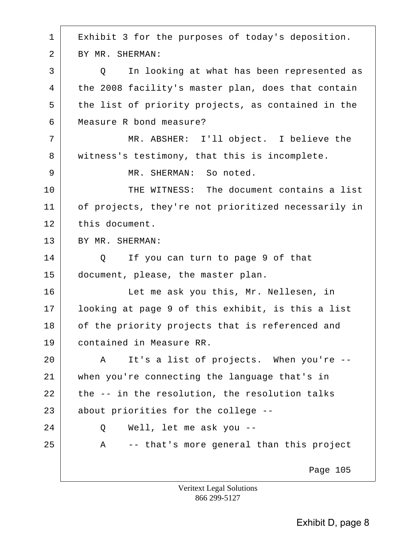1 | Exhibit 3 for the purposes of today's deposition. 2 BY MR. SHERMAN: 3 | Q In looking at what has been represented as 4 the 2008 facility's master plan, does that contain 5 the list of priority projects, as contained in the 6 Measure R bond measure? 7 | MR. ABSHER: I'll object. I believe the 8 witness's testimony, that this is incomplete. 9 MR. SHERMAN: So noted. 10 THE WITNESS: The document contains a list 11 of projects, they're not prioritized necessarily in 12 this document. 13 BY MR. SHERMAN: 14 Q If you can turn to page 9 of that 15 document, please, the master plan. 16 Let me ask you this, Mr. Nellesen, in 17 looking at page 9 of this exhibit, is this a list 18 of the priority projects that is referenced and 19 contained in Measure RR. 20 A It's a list of projects. When you're --21 when you're connecting the language that's in  $22$  the  $-$  in the resolution, the resolution talks 23 about priorities for the college -- 24 Q Well, let me ask you -- 25 A -- that's more general than this project Page 105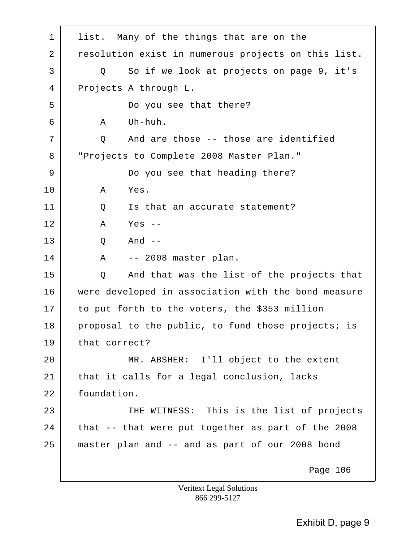1 list. Many of the things that are on the 2 | resolution exist in numerous projects on this list. 3 Q So if we look at projects on page 9, it's 4 Projects A through L. 5 Do you see that there?  $6$  A Uh-huh. 7 | Q And are those -- those are identified 8 "Projects to Complete 2008 Master Plan." 9 Do you see that heading there? 10 A Yes. 11 | Q Is that an accurate statement? 12 A Yes -- 13 Q And -- 14 | A -- 2008 master plan. 15 Q And that was the list of the projects that 16 were developed in association with the bond measure 17 to put forth to the voters, the \$353 million 18 proposal to the public, to fund those projects; is 19 that correct? 20 MR. ABSHER: I'll object to the extent 21 that it calls for a legal conclusion, lacks 22 foundation. 23 THE WITNESS: This is the list of projects  $24$  that  $-$  that were put together as part of the 2008 25 master plan and -- and as part of our 2008 bond Page 106

Exhibit D, page 9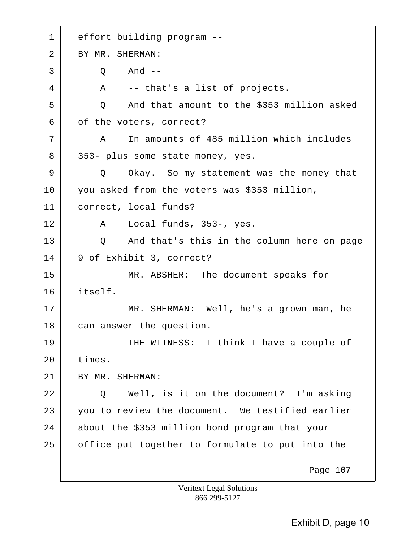1 effort building program -- 2 BY MR. SHERMAN:  $3$  O And  $4$  A -- that's a list of projects. 5 Q And that amount to the \$353 million asked 6 of the voters, correct? 7 A In amounts of 485 million which includes 8 353- plus some state money, yes. 9 Q Okay. So my statement was the money that 10 you asked from the voters was \$353 million, 11 correct, local funds? 12 A Local funds, 353-, yes. 13 Q And that's this in the column here on page 14 9 of Exhibit 3, correct? 15 MR. ABSHER: The document speaks for 16 itself. 17 MR. SHERMAN: Well, he's a grown man, he 18 can answer the question. 19 THE WITNESS: I think I have a couple of 20 times. 21 BY MR. SHERMAN: 22 Q Well, is it on the document? I'm asking 23 you to review the document. We testified earlier 24 about the \$353 million bond program that your 25 office put together to formulate to put into the Page 107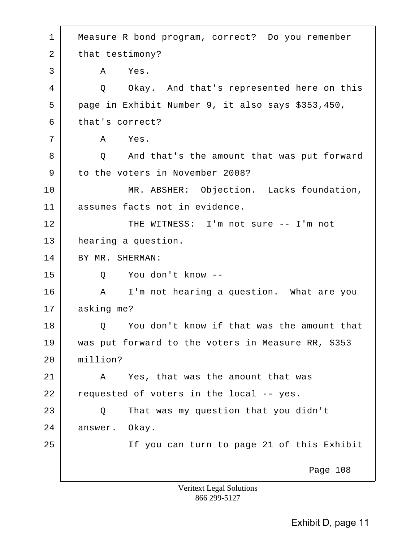1 Measure R bond program, correct? Do you remember 2 that testimony? 3 A Yes. 4 | Q Okay. And that's represented here on this 5 page in Exhibit Number 9, it also says \$353,450, 6 that's correct? 7 A Yes. 8 Q And that's the amount that was put forward 9 to the voters in November 2008? 10 MR. ABSHER: Objection. Lacks foundation, 11 assumes facts not in evidence. 12 THE WITNESS: I'm not sure -- I'm not 13 hearing a question. 14 BY MR. SHERMAN: 15 Q You don't know -- 16 A I'm not hearing a question. What are you 17 asking me? 18 | O You don't know if that was the amount that 19 was put forward to the voters in Measure RR, \$353 20 million? 21 A Yes, that was the amount that was  $22$  requested of voters in the local  $-$  yes. 23 Q That was my question that you didn't 24 answer. Okay. 25 If you can turn to page 21 of this Exhibit Page 108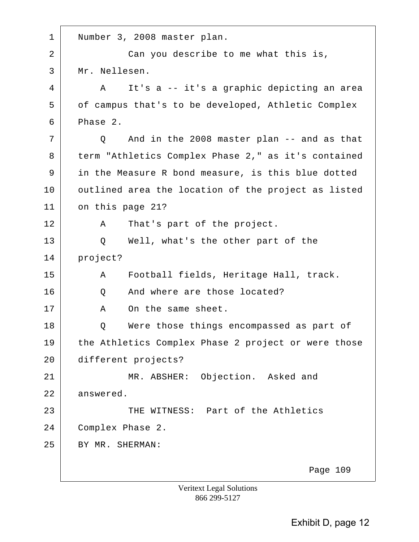| $\mathbf 1$ | Number 3, 2008 master plan.                                |
|-------------|------------------------------------------------------------|
| 2           | Can you describe to me what this is,                       |
| 3           | Mr. Nellesen.                                              |
| 4           | It's a -- it's a graphic depicting an area<br>$\mathbf{A}$ |
| 5           | of campus that's to be developed, Athletic Complex         |
| 6           | Phase 2.                                                   |
| 7           | And in the 2008 master plan -- and as that<br>Q            |
| 8           | term "Athletics Complex Phase 2," as it's contained        |
| 9           | in the Measure R bond measure, is this blue dotted         |
| 10          | outlined area the location of the project as listed        |
| 11          | on this page 21?                                           |
| 12          | That's part of the project.<br>Α                           |
| 13          | Well, what's the other part of the<br>Q                    |
| 14          | project?                                                   |
| 15          | Football fields, Heritage Hall, track.<br>A                |
| 16          | And where are those located?<br>Q                          |
| 17          | On the same sheet.<br>Α                                    |
| 18          | Were those things encompassed as part of<br>Q              |
| 19          | the Athletics Complex Phase 2 project or were those        |
| 20          | different projects?                                        |
| 21          | MR. ABSHER: Objection. Asked and                           |
| 22          | answered.                                                  |
| 23          | THE WITNESS: Part of the Athletics                         |
| 24          | Complex Phase 2.                                           |
| 25          | BY MR. SHERMAN:                                            |
|             | Page 109                                                   |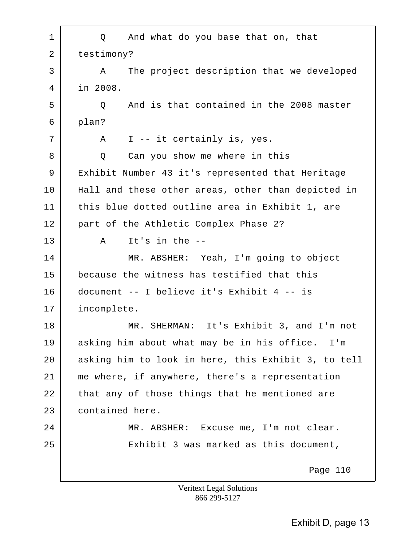| 1              | And what do you base that on, that<br>Q             |
|----------------|-----------------------------------------------------|
| $\overline{2}$ | testimony?                                          |
| 3              | The project description that we developed<br>A      |
| 4              | in 2008.                                            |
| 5              | And is that contained in the 2008 master<br>Q       |
| 6              | plan?                                               |
| 7              | I -- it certainly is, yes.<br>A                     |
| 8              | Can you show me where in this<br>Q                  |
| 9              | Exhibit Number 43 it's represented that Heritage    |
| 10             | Hall and these other areas, other than depicted in  |
| 11             | this blue dotted outline area in Exhibit 1, are     |
| 12             | part of the Athletic Complex Phase 2?               |
| 13             | It's in the $-$ -<br>$\mathbf{A}$                   |
| 14             | MR. ABSHER: Yeah, I'm going to object               |
| 15             | because the witness has testified that this         |
| 16             | document -- I believe it's Exhibit 4 -- is          |
| 17             | incomplete.                                         |
| 18             | MR. SHERMAN: It's Exhibit 3, and I'm not            |
| 19             | asking him about what may be in his office. I'm     |
| 20             | asking him to look in here, this Exhibit 3, to tell |
| 21             | me where, if anywhere, there's a representation     |
| 22             | that any of those things that he mentioned are      |
| 23             | contained here.                                     |
| 24             | MR. ABSHER: Excuse me, I'm not clear.               |
| 25             | Exhibit 3 was marked as this document,              |
|                | Page 110<br><b>Veritext Legal Solutions</b>         |

866 299-5127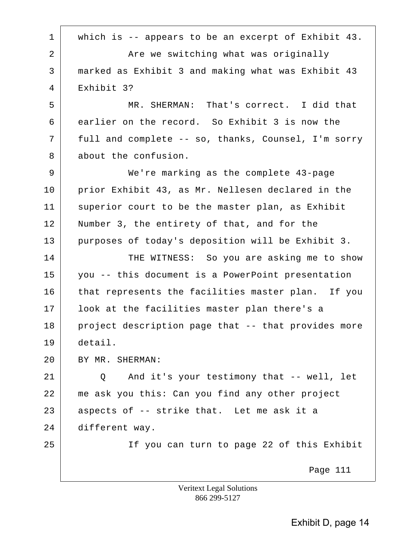1 which is -- appears to be an excerpt of Exhibit 43. 2 **Are we switching what was originally** 3 marked as Exhibit 3 and making what was Exhibit 43 4 Exhibit 3? 5 MR. SHERMAN: That's correct. I did that 6 earlier on the record. So Exhibit 3 is now the 7 full and complete -- so, thanks, Counsel, I'm sorry 8 about the confusion. 9 We're marking as the complete 43-page 10 prior Exhibit 43, as Mr. Nellesen declared in the 11 superior court to be the master plan, as Exhibit 12 | Number 3, the entirety of that, and for the 13 purposes of today's deposition will be Exhibit 3. 14 THE WITNESS: So you are asking me to show 15 you -- this document is a PowerPoint presentation 16 that represents the facilities master plan. If you 17 | look at the facilities master plan there's a 18 project description page that -- that provides more 19 detail. 20 BY MR. SHERMAN:  $21$   $\vert$  0 And it's your testimony that -- well, let 22 me ask you this: Can you find any other project  $23$  aspects of  $-$ - strike that. Let me ask it a 24 different way. 25 If you can turn to page 22 of this Exhibit Page 111 Veritext Legal Solutions 866 299-5127

Exhibit D, page 14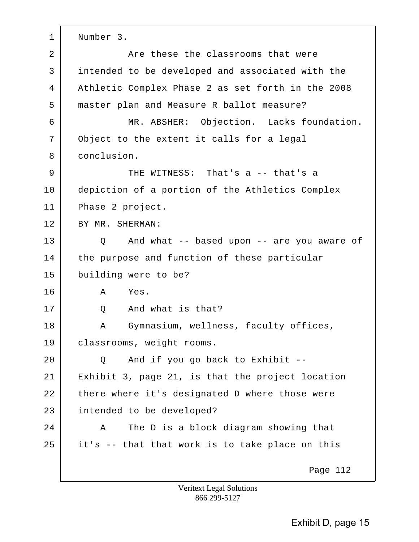1 | Number 3. 2 **Are these the classrooms that were** 3 intended to be developed and associated with the 4 Athletic Complex Phase 2 as set forth in the 2008 5 master plan and Measure R ballot measure? 6 MR. ABSHER: Objection. Lacks foundation. 7 Object to the extent it calls for a legal 8 conclusion. 9 THE WITNESS: That's a -- that's a 10 depiction of a portion of the Athletics Complex 11 Phase 2 project. 12 BY MR. SHERMAN: 13 Q And what -- based upon -- are you aware of 14 the purpose and function of these particular 15 building were to be? 16 A Yes. 17 O And what is that? 18 A Gymnasium, wellness, faculty offices, 19 | classrooms, weight rooms.  $20$  Q And if you go back to Exhibit  $-$ 21 Exhibit 3, page 21, is that the project location  $22$  there where it's designated D where those were 23 intended to be developed? 24 A The D is a block diagram showing that  $25$  it's  $-$  that that work is to take place on this Page 112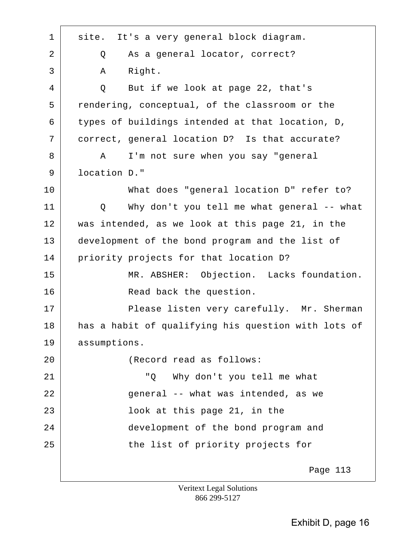| $\mathbf 1$ | It's a very general block diagram.<br>site.         |
|-------------|-----------------------------------------------------|
| 2           | As a general locator, correct?<br>Q                 |
| 3           | Right.<br>Α                                         |
| 4           | Q<br>But if we look at page 22, that's              |
| 5           | rendering, conceptual, of the classroom or the      |
| 6           | types of buildings intended at that location, D,    |
| 7           | correct, general location D? Is that accurate?      |
| 8           | I'm not sure when you say "general<br>A             |
| 9           | location D."                                        |
| 10          | What does "general location D" refer to?            |
| 11          | Why don't you tell me what general -- what<br>Q     |
| 12          | was intended, as we look at this page 21, in the    |
| 13          | development of the bond program and the list of     |
| 14          | priority projects for that location D?              |
| 15          | MR. ABSHER: Objection. Lacks foundation.            |
| 16          | Read back the question.                             |
| 17          | Please listen very carefully. Mr. Sherman           |
| 18          | has a habit of qualifying his question with lots of |
| 19          | assumptions.                                        |
| 20          | (Record read as follows:                            |
| 21          | " Q<br>Why don't you tell me what                   |
| 22          | general -- what was intended, as we                 |
| 23          | look at this page 21, in the                        |
| 24          | development of the bond program and                 |
| 25          | the list of priority projects for                   |
|             | Page 113                                            |
|             | Veritart Legal Solutions                            |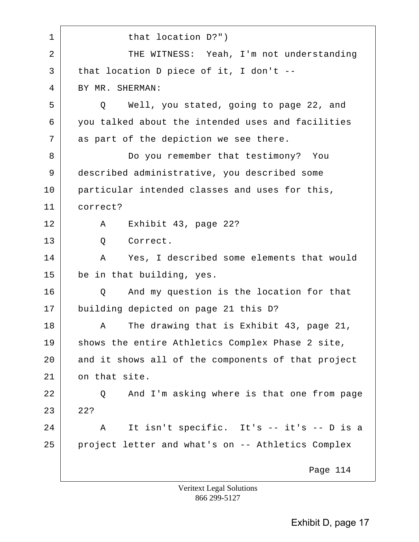| $\mathbf 1$    | that location D?")                                 |
|----------------|----------------------------------------------------|
| $\overline{2}$ | THE WITNESS: Yeah, I'm not understanding           |
| 3              | that location D piece of it, I don't $-$           |
| 4              | BY MR. SHERMAN:                                    |
| 5              | Well, you stated, going to page 22, and<br>Q       |
| 6              | you talked about the intended uses and facilities  |
| 7              | as part of the depiction we see there.             |
| 8              | Do you remember that testimony? You                |
| 9              | described administrative, you described some       |
| 10             | particular intended classes and uses for this,     |
| 11             | correct?                                           |
| 12             | Exhibit 43, page 22?<br>A                          |
| 13             | Correct.<br>Q                                      |
| 14             | Yes, I described some elements that would<br>Α     |
| 15             | be in that building, yes.                          |
| 16             | And my question is the location for that<br>Q      |
| 17             | building depicted on page 21 this D?               |
| 18             | The drawing that is Exhibit 43, page 21,<br>Α      |
| 19             | shows the entire Athletics Complex Phase 2 site,   |
| 20             | and it shows all of the components of that project |
| 21             | on that site.                                      |
| 22             | And I'm asking where is that one from page<br>Q    |
| 23             | 22?                                                |
| 24             | It isn't specific. It's -- it's -- D is a<br>Α     |
| 25             | project letter and what's on -- Athletics Complex  |
|                | Page 114                                           |
|                | <b>Veritext Legal Solutions</b>                    |

866 299-5127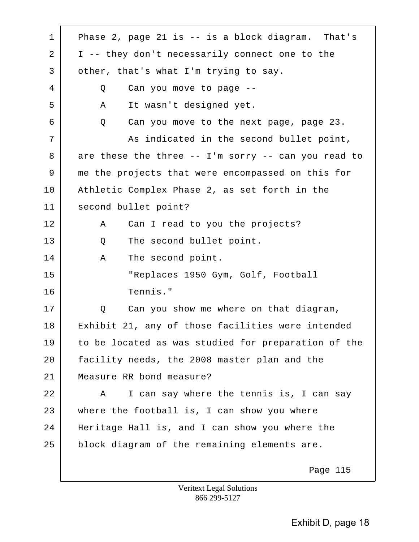| $\mathbf 1$ | Phase 2, page 21 is -- is a block diagram. That's       |
|-------------|---------------------------------------------------------|
| 2           | I -- they don't necessarily connect one to the          |
| 3           | other, that's what I'm trying to say.                   |
| 4           | Can you move to page --<br>Q                            |
| 5           | It wasn't designed yet.<br>Α                            |
| 6           | Can you move to the next page, page 23.<br>Q            |
| 7           | As indicated in the second bullet point,                |
| 8           | are these the three $--$ I'm sorry $--$ can you read to |
| 9           | me the projects that were encompassed on this for       |
| 10          | Athletic Complex Phase 2, as set forth in the           |
| 11          | second bullet point?                                    |
| 12          | Can I read to you the projects?<br>Α                    |
| 13          | The second bullet point.<br>Q                           |
| 14          | The second point.<br>Α                                  |
| 15          | "Replaces 1950 Gym, Golf, Football                      |
| 16          | Tennis."                                                |
| 17          | Can you show me where on that diagram,<br>Q             |
| 18          | Exhibit 21, any of those facilities were intended       |
| 19          | to be located as was studied for preparation of the     |
| 20          | facility needs, the 2008 master plan and the            |
| 21          | Measure RR bond measure?                                |
| 22          | I can say where the tennis is, I can say<br>A           |
| 23          | where the football is, I can show you where             |
| 24          | Heritage Hall is, and I can show you where the          |
| 25          | block diagram of the remaining elements are.            |
|             | Page 115                                                |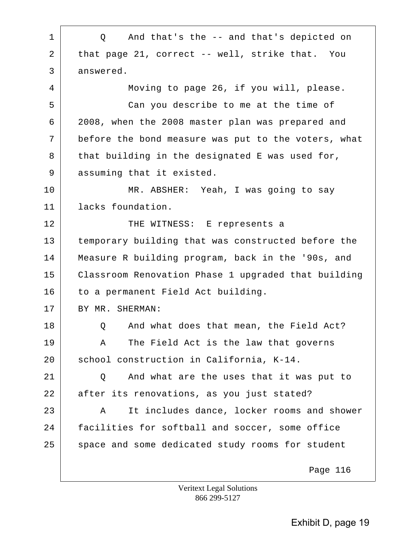1 | Q And that's the -- and that's depicted on 2 that page 21, correct -- well, strike that. You 3 answered. 4 Moving to page 26, if you will, please. 5 Can you describe to me at the time of 6 2008, when the 2008 master plan was prepared and 7 before the bond measure was put to the voters, what  $8$  that building in the designated E was used for, 9 assuming that it existed. 10 MR. ABSHER: Yeah, I was going to say 11 lacks foundation. 12 THE WITNESS: E represents a 13 temporary building that was constructed before the 14 Measure R building program, back in the '90s, and 15 Classroom Renovation Phase 1 upgraded that building 16 to a permanent Field Act building. 17 BY MR. SHERMAN: 18 | O And what does that mean, the Field Act? 19 A The Field Act is the law that governs 20 school construction in California, K-14. 21 | O And what are the uses that it was put to 22 after its renovations, as you just stated? 23 A It includes dance, locker rooms and shower 24 facilities for softball and soccer, some office 25 space and some dedicated study rooms for student Page 116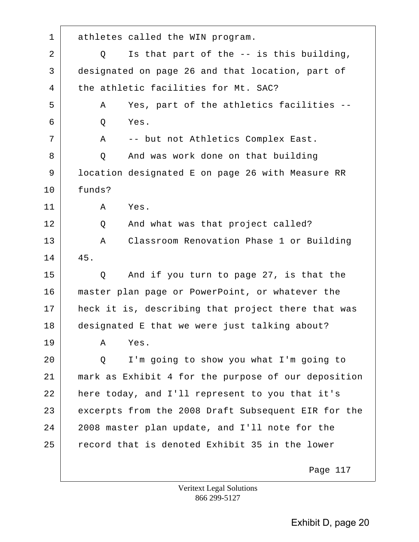1 athletes called the WIN program. 2 | Q Is that part of the -- is this building, 3 designated on page 26 and that location, part of 4 the athletic facilities for Mt. SAC? 5 | A Yes, part of the athletics facilities -- $6$  O Yes. 7 | A -- but not Athletics Complex East. 8 O And was work done on that building 9 | location designated E on page 26 with Measure RR 10 funds? 11 A Yes. 12 Q And what was that project called? 13 A Classroom Renovation Phase 1 or Building 14 45. 15 Q And if you turn to page 27, is that the 16 master plan page or PowerPoint, or whatever the 17 heck it is, describing that project there that was 18 designated E that we were just talking about? 19 A Yes. 20 Q I'm going to show you what I'm going to 21 mark as Exhibit 4 for the purpose of our deposition 22 here today, and I'll represent to you that it's 23 excerpts from the 2008 Draft Subsequent EIR for the 24 2008 master plan update, and I'll note for the 25 record that is denoted Exhibit 35 in the lower Page 117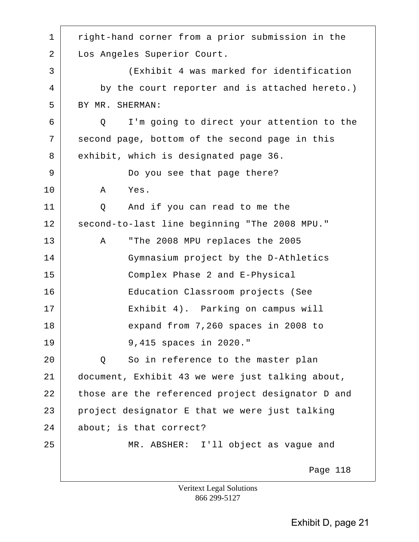1 | right-hand corner from a prior submission in the 2 Los Angeles Superior Court. 3 (Exhibit 4 was marked for identification 4 by the court reporter and is attached hereto.) 5 BY MR. SHERMAN: 6 Q I'm going to direct your attention to the 7 second page, bottom of the second page in this 8 exhibit, which is designated page 36. 9 Do you see that page there? 10 A Yes. 11 Q And if you can read to me the 12 second-to-last line beginning "The 2008 MPU." 13 A "The 2008 MPU replaces the 2005 14 Gymnasium project by the D-Athletics 15 Complex Phase 2 and E-Physical 16 Education Classroom projects (See 17 Exhibit 4). Parking on campus will 18 expand from 7,260 spaces in 2008 to 19 9,415 spaces in 2020." 20 Q So in reference to the master plan 21 document, Exhibit 43 we were just talking about, 22 those are the referenced project designator D and  $23$  project designator E that we were just talking 24 about; is that correct? 25 MR. ABSHER: I'll object as vague and Page 118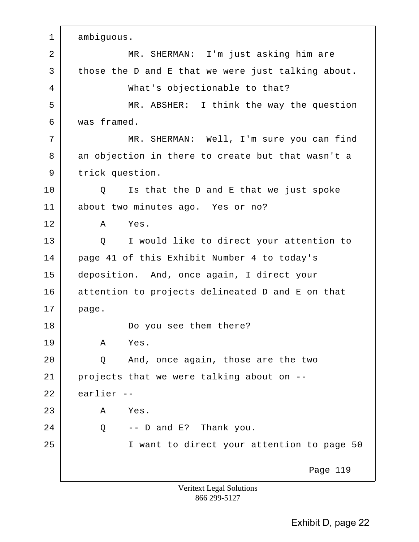1 ambiguous. 2 | MR. SHERMAN: I'm just asking him are  $3$  those the D and E that we were just talking about. 4 What's objectionable to that? 5 MR. ABSHER: I think the way the question 6 was framed. 7 | MR. SHERMAN: Well, I'm sure you can find 8 an objection in there to create but that wasn't a 9 trick question. 10 | Q Is that the D and E that we just spoke 11 about two minutes ago. Yes or no? 12 A Yes. 13 Q I would like to direct your attention to 14 page 41 of this Exhibit Number 4 to today's 15 deposition. And, once again, I direct your 16 attention to projects delineated D and E on that 17 page. 18 Do you see them there? 19 A Yes. 20 Q And, once again, those are the two  $21$  projects that we were talking about on  $-$ 22 earlier -- 23 A Yes.  $24$  | Q -- D and E? Thank you. 25 | Twant to direct your attention to page 50 Page 119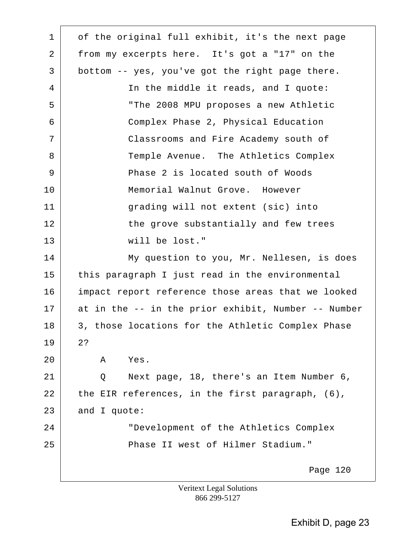1 of the original full exhibit, it's the next page 2 from my excerpts here. It's got a "17" on the  $3$  bottom -- yes, you've got the right page there. 4 In the middle it reads, and I quote: 5 "The 2008 MPU proposes a new Athletic 6 Complex Phase 2, Physical Education 7 Classrooms and Fire Academy south of 8 Temple Avenue. The Athletics Complex 9 Phase 2 is located south of Woods 10 Memorial Walnut Grove. However 11 grading will not extent (sic) into 12 the grove substantially and few trees 13 will be lost." 14 My question to you, Mr. Nellesen, is does 15 this paragraph I just read in the environmental 16 impact report reference those areas that we looked 17 at in the -- in the prior exhibit, Number -- Number 18 3, those locations for the Athletic Complex Phase 19 2? 20 A Yes. 21 Q Next page, 18, there's an Item Number 6, 22 the EIR references, in the first paragraph,  $(6)$ , 23 and I quote: 24 "Development of the Athletics Complex 25 Phase II west of Hilmer Stadium." Page 120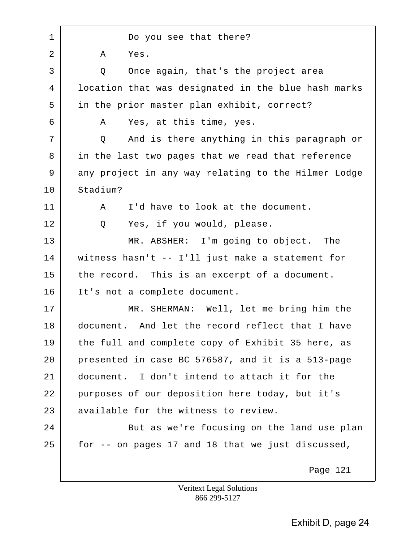1 Do you see that there? 2 A Yes. 3 Q Once again, that's the project area 4 location that was designated in the blue hash marks 5 in the prior master plan exhibit, correct? 6 A Yes, at this time, yes. 7 Q And is there anything in this paragraph or 8 in the last two pages that we read that reference 9 any project in any way relating to the Hilmer Lodge 10 Stadium? 11 | A I'd have to look at the document. 12 | Q Yes, if you would, please. 13 MR. ABSHER: I'm going to object. The 14 witness hasn't -- I'll just make a statement for 15 the record. This is an excerpt of a document. 16 It's not a complete document. 17 MR. SHERMAN: Well, let me bring him the 18 document. And let the record reflect that I have 19 the full and complete copy of Exhibit 35 here, as 20 presented in case BC 576587, and it is a 513-page 21 document. I don't intend to attach it for the 22 purposes of our deposition here today, but it's 23 available for the witness to review. 24 But as we're focusing on the land use plan  $25$  for  $-$  on pages 17 and 18 that we just discussed, Page 121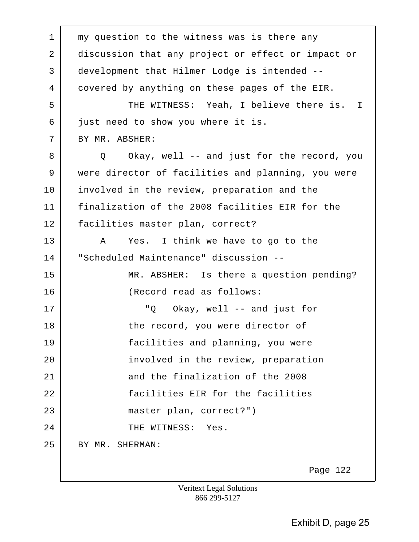1 | my question to the witness was is there any 2 discussion that any project or effect or impact or 3 development that Hilmer Lodge is intended -- 4 covered by anything on these pages of the EIR. 5 THE WITNESS: Yeah, I believe there is. I 6 just need to show you where it is. 7 BY MR. ABSHER: 8 Q Okay, well -- and just for the record, you 9 were director of facilities and planning, you were 10 involved in the review, preparation and the 11 finalization of the 2008 facilities EIR for the 12 facilities master plan, correct? 13 A Yes. I think we have to go to the 14 "Scheduled Maintenance" discussion -- 15 MR. ABSHER: Is there a question pending? 16 (Record read as follows: 17 | The Cokay, well -- and just for 18 the record, you were director of 19 facilities and planning, you were 20 **involved** in the review, preparation 21 and the finalization of the 2008 22 facilities EIR for the facilities 23 master plan, correct?") 24 CHE WITNESS: Yes. 25 BY MR. SHERMAN: Page 122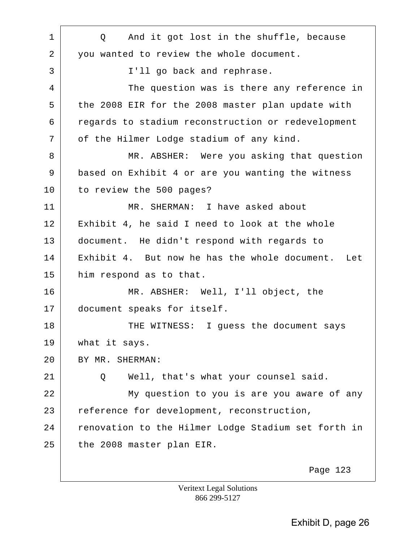1 | Q And it got lost in the shuffle, because 2 you wanted to review the whole document. 3 I'll go back and rephrase. 4 The question was is there any reference in 5 the 2008 EIR for the 2008 master plan update with 6 regards to stadium reconstruction or redevelopment 7 | of the Hilmer Lodge stadium of any kind. 8 MR. ABSHER: Were you asking that question 9 based on Exhibit 4 or are you wanting the witness 10 to review the 500 pages? 11 MR. SHERMAN: I have asked about 12 Exhibit 4, he said I need to look at the whole 13 document. He didn't respond with regards to 14 Exhibit 4. But now he has the whole document. Let 15 him respond as to that. 16 MR. ABSHER: Well, I'll object, the 17 document speaks for itself. 18 THE WITNESS: I guess the document says 19 | what it says. 20 BY MR. SHERMAN: 21 |  $\sim$  0 Well, that's what your counsel said. 22 My question to you is are you aware of any 23 reference for development, reconstruction, 24 renovation to the Hilmer Lodge Stadium set forth in 25 the 2008 master plan EIR. Page 123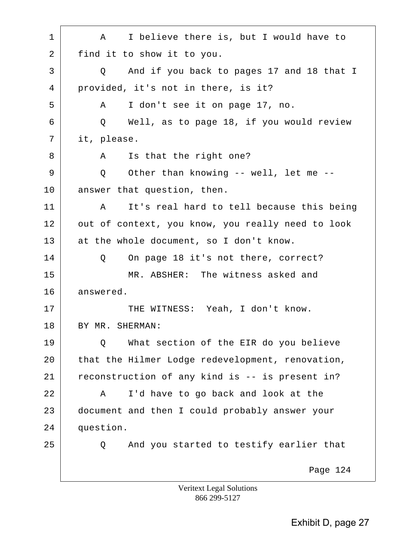| $\mathbf 1$ | I believe there is, but I would have to<br>A      |
|-------------|---------------------------------------------------|
| 2           | find it to show it to you.                        |
| 3           | And if you back to pages 17 and 18 that I<br>Q    |
| 4           | provided, it's not in there, is it?               |
| 5           | I don't see it on page 17, no.<br>Α               |
| 6           | Well, as to page 18, if you would review<br>Q     |
| 7           | it, please.                                       |
| 8           | Is that the right one?<br>A                       |
| 9           | Other than knowing -- well, let me --<br>Q        |
| 10          | answer that question, then.                       |
| 11          | It's real hard to tell because this being<br>Α    |
| 12          | out of context, you know, you really need to look |
| 13          | at the whole document, so I don't know.           |
| 14          | On page 18 it's not there, correct?<br>Q          |
| 15          | MR. ABSHER: The witness asked and                 |
| 16          | answered.                                         |
| 17          | THE WITNESS: Yeah, I don't know.                  |
| 18          | BY MR. SHERMAN:                                   |
| 19          | What section of the EIR do you believe<br>Q       |
| 20          | that the Hilmer Lodge redevelopment, renovation,  |
| 21          | reconstruction of any kind is -- is present in?   |
| 22          | I'd have to go back and look at the<br>Α          |
| 23          | document and then I could probably answer your    |
| 24          | question.                                         |
| 25          | And you started to testify earlier that<br>Q      |
|             | Page 124                                          |

Veritext Legal Solutions 866 299-5127

 $\overline{\phantom{a}}$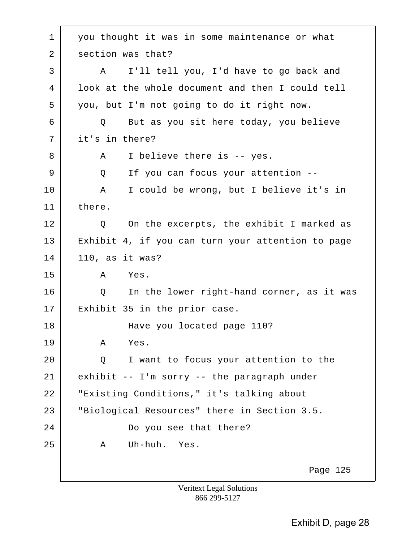1 you thought it was in some maintenance or what 2 section was that? 3 A I'll tell you, I'd have to go back and 4 look at the whole document and then I could tell 5 you, but I'm not going to do it right now. 6 Q But as you sit here today, you believe 7 it's in there? 8 A I believe there is -- yes. 9 | Q If you can focus your attention --10 A I could be wrong, but I believe it's in 11 there. 12 | Q On the excerpts, the exhibit I marked as 13 Exhibit 4, if you can turn your attention to page 14 110, as it was? 15 A Yes. 16 | Q In the lower right-hand corner, as it was 17 Exhibit 35 in the prior case. 18 Have you located page 110? 19 A Yes. 20 Q I want to focus your attention to the  $21$  exhibit -- I'm sorry -- the paragraph under 22 "Existing Conditions," it's talking about 23 "Biological Resources" there in Section 3.5. 24 Do you see that there? 25 A Uh-huh. Yes. Page 125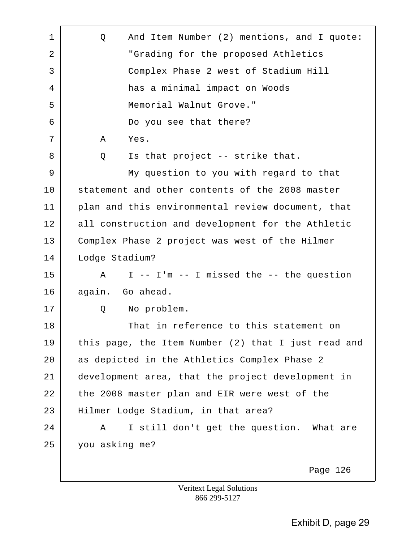| 1  | And Item Number (2) mentions, and I quote:<br>Q     |
|----|-----------------------------------------------------|
| 2  | "Grading for the proposed Athletics                 |
| 3  | Complex Phase 2 west of Stadium Hill                |
| 4  | has a minimal impact on Woods                       |
| 5  | Memorial Walnut Grove."                             |
| 6  | Do you see that there?                              |
| 7  | Α<br>Yes.                                           |
| 8  | Is that project -- strike that.<br>Q                |
| 9  | My question to you with regard to that              |
| 10 | statement and other contents of the 2008 master     |
| 11 | plan and this environmental review document, that   |
| 12 | all construction and development for the Athletic   |
| 13 | Complex Phase 2 project was west of the Hilmer      |
| 14 | Lodge Stadium?                                      |
| 15 | I -- I'm -- I missed the -- the question<br>Α       |
| 16 | again. Go ahead.                                    |
| 17 | Q<br>No problem.                                    |
| 18 | That in reference to this statement on              |
| 19 | this page, the Item Number (2) that I just read and |
| 20 | as depicted in the Athletics Complex Phase 2        |
| 21 | development area, that the project development in   |
| 22 | the 2008 master plan and EIR were west of the       |
| 23 | Hilmer Lodge Stadium, in that area?                 |
| 24 | I still don't get the question. What are<br>Α       |
| 25 | you asking me?                                      |
|    |                                                     |
|    | Page 126                                            |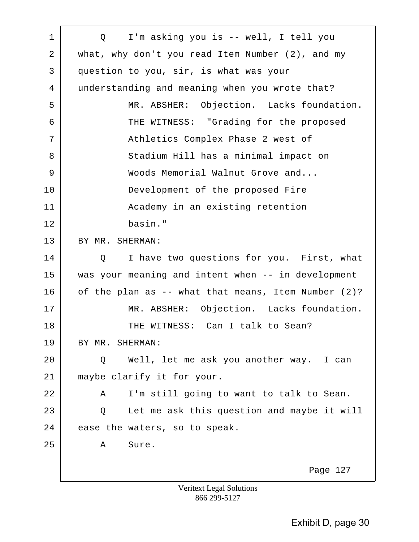| $\mathbf 1$ | I'm asking you is -- well, I tell you<br>$Q \qquad \qquad$ |
|-------------|------------------------------------------------------------|
| 2           | what, why don't you read Item Number $(2)$ , and my        |
| 3           | question to you, sir, is what was your                     |
| 4           | understanding and meaning when you wrote that?             |
| 5           | MR. ABSHER: Objection. Lacks foundation.                   |
| 6           | THE WITNESS: "Grading for the proposed                     |
| 7           | Athletics Complex Phase 2 west of                          |
| 8           | Stadium Hill has a minimal impact on                       |
| 9           | Woods Memorial Walnut Grove and                            |
| 10          | Development of the proposed Fire                           |
| 11          | Academy in an existing retention                           |
| 12          | basin."                                                    |
| 13          | BY MR. SHERMAN:                                            |
| 14          | I have two questions for you. First, what<br>Q             |
| 15          | was your meaning and intent when -- in development         |
| 16          | of the plan as -- what that means, Item Number (2)?        |
| 17          | MR. ABSHER: Objection. Lacks foundation.                   |
| 18          | THE WITNESS: Can I talk to Sean?                           |
| 19          | BY MR. SHERMAN:                                            |
| 20          | Well, let me ask you another way. I can<br>Q               |
| 21          | maybe clarify it for your.                                 |
| 22          | I'm still going to want to talk to Sean.<br>Α              |
| 23          | Let me ask this question and maybe it will<br>Q            |
| 24          | ease the waters, so to speak.                              |
| 25          | Sure.<br>A                                                 |
|             | Page 127                                                   |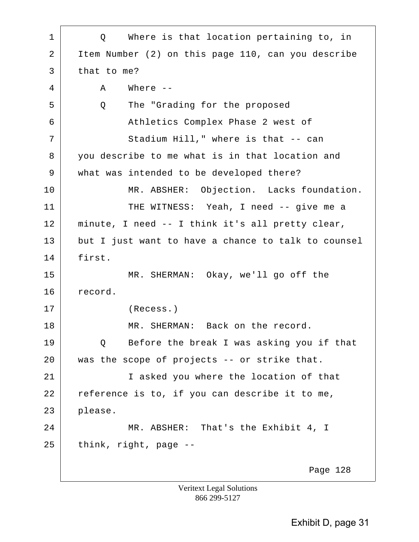| $\mathbf 1$ | Q Where is that location pertaining to, in          |
|-------------|-----------------------------------------------------|
| 2           | Item Number (2) on this page 110, can you describe  |
| 3           | that to me?                                         |
| 4           | Where $--$<br>Α                                     |
| 5           | The "Grading for the proposed<br>Q                  |
| 6           | Athletics Complex Phase 2 west of                   |
| 7           | Stadium Hill," where is that -- can                 |
| 8           | you describe to me what is in that location and     |
| 9           | what was intended to be developed there?            |
| 10          | MR. ABSHER: Objection. Lacks foundation.            |
| 11          | THE WITNESS: Yeah, I need -- give me a              |
| 12          | minute, I need -- I think it's all pretty clear,    |
| 13          | but I just want to have a chance to talk to counsel |
| 14          | first.                                              |
| 15          | MR. SHERMAN: Okay, we'll go off the                 |
| 16          | record.                                             |
| 17          | (Recess.)                                           |
| 18          | MR. SHERMAN: Back on the record.                    |
| 19          | Before the break I was asking you if that<br>Q      |
| 20          | was the scope of projects -- or strike that.        |
| 21          | I asked you where the location of that              |
| 22          | reference is to, if you can describe it to me,      |
| 23          | please.                                             |
| 24          | MR. ABSHER: That's the Exhibit 4, I                 |
| 25          | think, right, page --                               |
|             | Page 128                                            |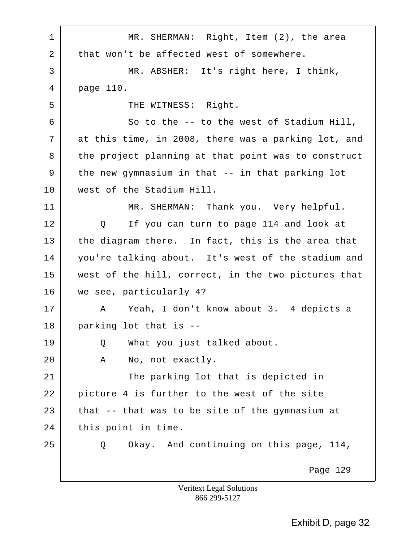| $\mathbf 1$ | MR. SHERMAN: Right, Item (2), the area                       |
|-------------|--------------------------------------------------------------|
| 2           | that won't be affected west of somewhere.                    |
| 3           | MR. ABSHER: It's right here, I think,                        |
| 4           | page 110.                                                    |
| 5           | THE WITNESS: Right.                                          |
| 6           | So to the -- to the west of Stadium Hill,                    |
| 7           | at this time, in 2008, there was a parking lot, and          |
| 8           | the project planning at that point was to construct          |
| 9           | the new gymnasium in that -- in that parking lot             |
| 10          | west of the Stadium Hill.                                    |
| 11          | MR. SHERMAN: Thank you. Very helpful.                        |
| 12          | If you can turn to page 114 and look at<br>$Q \qquad \qquad$ |
| 13          | the diagram there. In fact, this is the area that            |
| 14          | you're talking about. It's west of the stadium and           |
| 15          | west of the hill, correct, in the two pictures that          |
| 16          | we see, particularly 4?                                      |
| 17          | A Yeah, I don't know about 3. 4 depicts a                    |
| 18          | parking lot that is --                                       |
| 19          | What you just talked about.<br>Q                             |
| 20          | No, not exactly.<br>Α                                        |
| 21          | The parking lot that is depicted in                          |
| 22          | picture 4 is further to the west of the site                 |
| 23          | that -- that was to be site of the gymnasium at              |
| 24          | this point in time.                                          |
| 25          | Okay. And continuing on this page, 114,<br>Q                 |
|             | Page 129                                                     |
|             | Veritext Legal Solutions                                     |

866 299-5127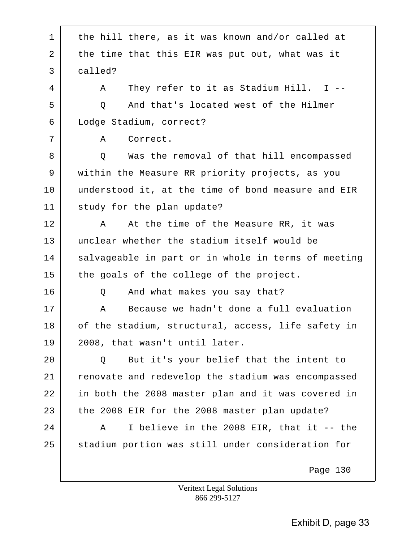| $\mathbf 1$ | the hill there, as it was known and/or called at    |
|-------------|-----------------------------------------------------|
| 2           | the time that this EIR was put out, what was it     |
| 3           | called?                                             |
| 4           | They refer to it as Stadium Hill. I --<br>A         |
| 5           | And that's located west of the Hilmer<br>Q          |
| 6           | Lodge Stadium, correct?                             |
| 7           | Correct.<br>Α                                       |
| 8           | Was the removal of that hill encompassed<br>Q       |
| 9           | within the Measure RR priority projects, as you     |
| 10          | understood it, at the time of bond measure and EIR  |
| 11          | study for the plan update?                          |
| 12          | At the time of the Measure RR, it was<br>Α          |
| 13          | unclear whether the stadium itself would be         |
| 14          | salvageable in part or in whole in terms of meeting |
| 15          | the goals of the college of the project.            |
| 16          | And what makes you say that?<br>Q                   |
| 17          | Because we hadn't done a full evaluation<br>Α       |
| 18          | of the stadium, structural, access, life safety in  |
| 19          | 2008, that wasn't until later.                      |
| 20          | But it's your belief that the intent to<br>Q        |
| 21          | renovate and redevelop the stadium was encompassed  |
| 22          | in both the 2008 master plan and it was covered in  |
| 23          | the 2008 EIR for the 2008 master plan update?       |
| 24          | I believe in the 2008 EIR, that it -- the<br>Α      |
| 25          | stadium portion was still under consideration for   |
|             | Page 130                                            |
|             | <b>Veritext Legal Solutions</b>                     |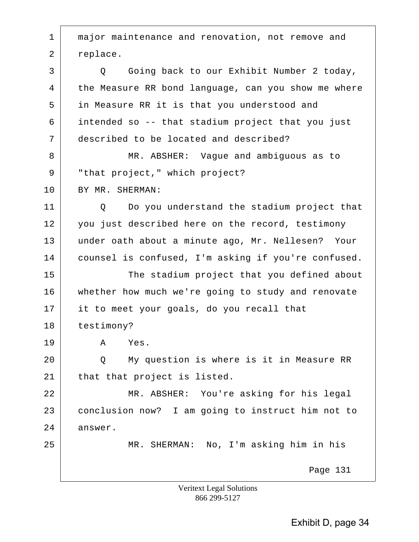1 | major maintenance and renovation, not remove and 2 replace. 3 Q Going back to our Exhibit Number 2 today, 4 the Measure RR bond language, can you show me where 5 in Measure RR it is that you understood and 6 intended so -- that stadium project that you just 7 described to be located and described? 8 MR. ABSHER: Vaque and ambiguous as to 9 | "that project," which project? 10 BY MR. SHERMAN: 11 Q Do you understand the stadium project that 12 you just described here on the record, testimony 13 under oath about a minute ago, Mr. Nellesen? Your 14 counsel is confused, I'm asking if you're confused. 15 The stadium project that you defined about 16 whether how much we're going to study and renovate 17 it to meet your goals, do you recall that 18 testimony? 19 A Yes. 20 Q My question is where is it in Measure RR 21 that that project is listed. 22 MR. ABSHER: You're asking for his legal 23 conclusion now? I am going to instruct him not to 24 answer. 25 MR. SHERMAN: No, I'm asking him in his Page 131

> Veritext Legal Solutions 866 299-5127

> > Exhibit D, page 34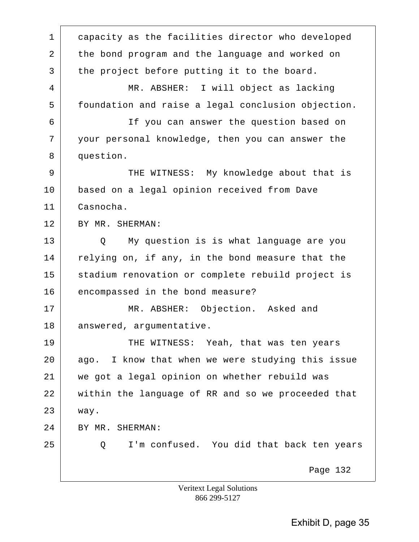1 capacity as the facilities director who developed 2 the bond program and the language and worked on 3 the project before putting it to the board. 4 MR. ABSHER: I will object as lacking 5 foundation and raise a legal conclusion objection. 6 If you can answer the question based on 7 your personal knowledge, then you can answer the 8 question. 9 THE WITNESS: My knowledge about that is 10 based on a legal opinion received from Dave 11 Casnocha. 12 BY MR. SHERMAN: 13 Q My question is is what language are you 14 relying on, if any, in the bond measure that the 15 stadium renovation or complete rebuild project is 16 encompassed in the bond measure? 17 MR. ABSHER: Objection. Asked and 18 answered, argumentative. 19 THE WITNESS: Yeah, that was ten years 20 ago. I know that when we were studying this issue 21 we got a legal opinion on whether rebuild was 22 within the language of RR and so we proceeded that 23 way. 24 BY MR. SHERMAN: 25 Q I'm confused. You did that back ten years Page 132 Veritext Legal Solutions

866 299-5127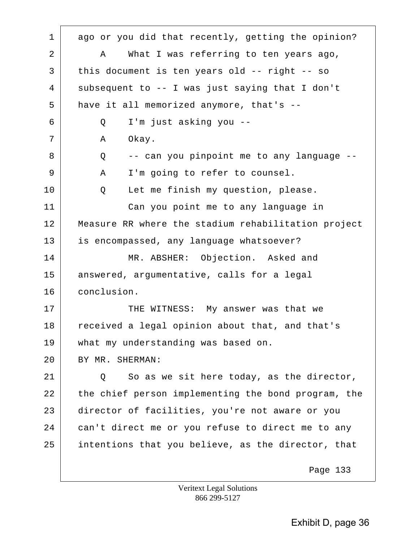1 ago or you did that recently, getting the opinion? 2 A What I was referring to ten years ago, 3 this document is ten years old -- right -- so 4 subsequent to -- I was just saying that I don't 5 have it all memorized anymore, that's --6 Q I'm just asking you -- 7 | A Okay. 8 Q -- can you pinpoint me to any language --9 A I'm going to refer to counsel. 10 | Q Let me finish my question, please. 11 Can you point me to any language in 12 Measure RR where the stadium rehabilitation project 13 is encompassed, any language whatsoever? 14 MR. ABSHER: Objection. Asked and 15 answered, argumentative, calls for a legal 16 conclusion. 17 THE WITNESS: My answer was that we 18 received a legal opinion about that, and that's 19 what my understanding was based on. 20 BY MR. SHERMAN:  $21$   $\vert$  0 So as we sit here today, as the director, 22 the chief person implementing the bond program, the 23 director of facilities, you're not aware or you 24 can't direct me or you refuse to direct me to any 25 intentions that you believe, as the director, that Page 133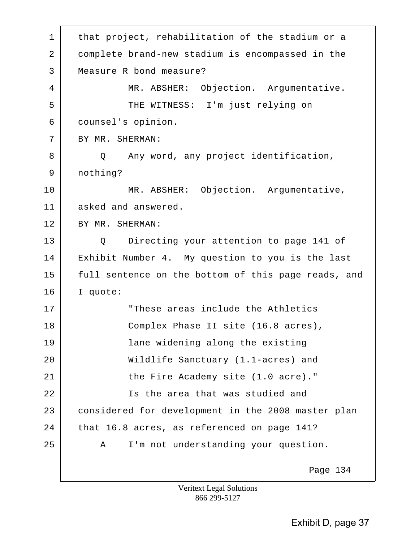1 | that project, rehabilitation of the stadium or a 2 complete brand-new stadium is encompassed in the 3 Measure R bond measure? 4 MR. ABSHER: Objection. Argumentative. 5 | THE WITNESS: I'm just relying on 6 counsel's opinion. 7 BY MR. SHERMAN: 8 | Q Any word, any project identification, 9 nothing? 10 MR. ABSHER: Objection. Argumentative, 11 asked and answered. 12 BY MR. SHERMAN: 13 Q Directing your attention to page 141 of 14 Exhibit Number 4. My question to you is the last 15 full sentence on the bottom of this page reads, and 16 I quote: 17 These areas include the Athletics 18 Complex Phase II site (16.8 acres), 19 lane widening along the existing 20 Wildlife Sanctuary (1.1-acres) and 21 the Fire Academy site (1.0 acre)." 22 Is the area that was studied and 23 considered for development in the 2008 master plan 24 that 16.8 acres, as referenced on page 141? 25 A I'm not understanding your question. Page 134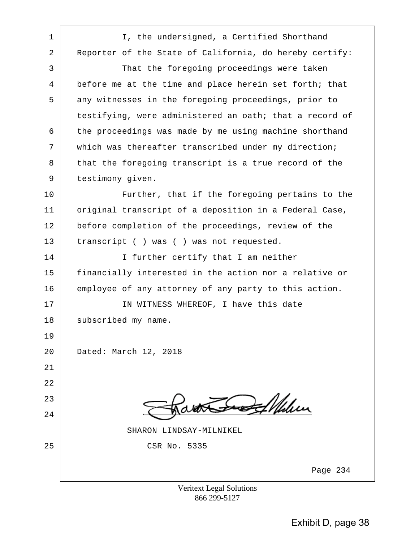| $\mathbf{1}$   | I, the undersigned, a Certified Shorthand               |
|----------------|---------------------------------------------------------|
| $\overline{a}$ | Reporter of the State of California, do hereby certify: |
| 3              | That the foregoing proceedings were taken               |
| 4              | before me at the time and place herein set forth; that  |
| 5              | any witnesses in the foregoing proceedings, prior to    |
|                | testifying, were administered an oath; that a record of |
| 6              | the proceedings was made by me using machine shorthand  |
| 7              | which was thereafter transcribed under my direction;    |
| 8              | that the foregoing transcript is a true record of the   |
| 9              | testimony given.                                        |
| 10             | Further, that if the foregoing pertains to the          |
| 11             | original transcript of a deposition in a Federal Case,  |
| 12             | before completion of the proceedings, review of the     |
| 13             | transcript () was () was not requested.                 |
| 14             | I further certify that I am neither                     |
| 15             | financially interested in the action nor a relative or  |
| 16             | employee of any attorney of any party to this action.   |
| 17             | IN WITNESS WHEREOF, I have this date                    |
| 18             | subscribed my name.                                     |
| 19             |                                                         |
| 20             | Dated: March 12, 2018                                   |
| 21             |                                                         |
| 22             |                                                         |
| 23             |                                                         |
| 24             |                                                         |
|                | SHARON LINDSAY-MILNIKEL                                 |
| 25             | CSR No. 5335                                            |
|                | Page 234                                                |